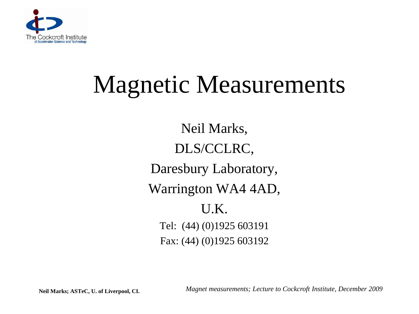

# Magnetic Measurements

Neil Marks, DLS/CCLRC, Daresbury Laboratory, Warrington WA4 4AD, U.K. Tel: (44) (0)1925 603191 Fax: (44) (0)1925 603192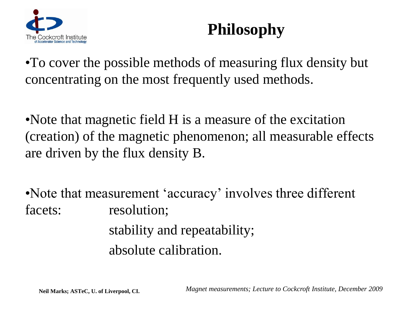

# **Philosophy**

•To cover the possible methods of measuring flux density but concentrating on the most frequently used methods.

•Note that magnetic field H is a measure of the excitation (creation) of the magnetic phenomenon; all measurable effects are driven by the flux density B.

•Note that measurement 'accuracy' involves three different facets: resolution; stability and repeatability; absolute calibration.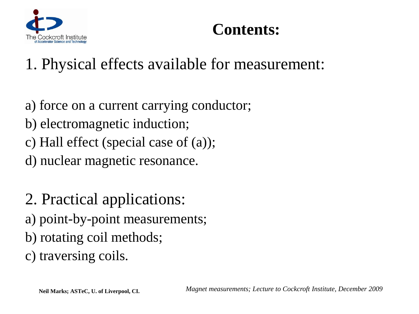

# **Contents:**

# 1. Physical effects available for measurement:

- a) force on a current carrying conductor;
- b) electromagnetic induction;
- c) Hall effect (special case of (a));

d) nuclear magnetic resonance.

2. Practical applications: a) point-by-point measurements; b) rotating coil methods; c) traversing coils.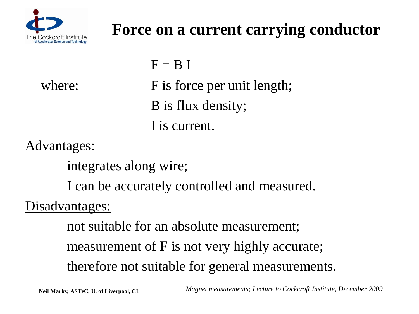

# **Force on a current carrying conductor**

 $F = B I$ 

where: F is force per unit length; B is flux density; I is current.

## Advantages:

integrates along wire;

I can be accurately controlled and measured.

## Disadvantages:

not suitable for an absolute measurement; measurement of F is not very highly accurate; therefore not suitable for general measurements.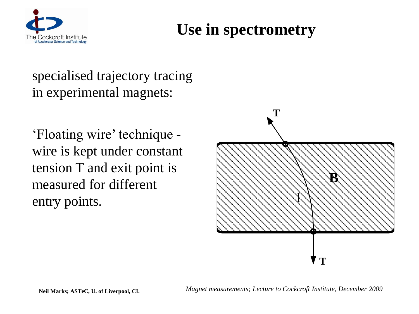

# **Use in spectrometry**

specialised trajectory tracing in experimental magnets:

'Floating wire' technique wire is kept under constant tension T and exit point is measured for different entry points.

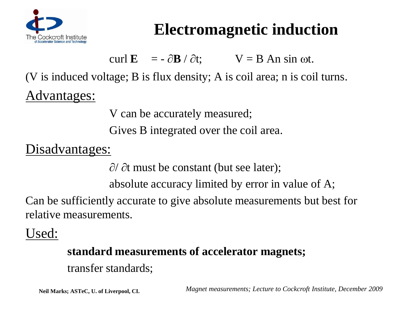

# **Electromagnetic induction**

curl  $\mathbf{E} = -\partial \mathbf{B} / \partial t; \qquad \mathbf{V} = \mathbf{B} \mathbf{A} \sin \omega t.$ 

(V is induced voltage; B is flux density; A is coil area; n is coil turns.

Advantages:

V can be accurately measured;

Gives B integrated over the coil area.

Disadvantages:

 $\partial/\partial t$  must be constant (but see later);

absolute accuracy limited by error in value of A;

Can be sufficiently accurate to give absolute measurements but best for relative measurements.

Used:

### **standard measurements of accelerator magnets;**

transfer standards;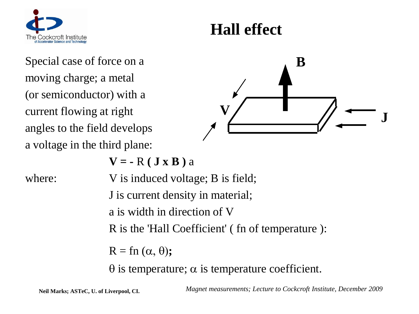

# **Hall effect**

Special case of force on a moving charge; a metal (or semiconductor) with a current flowing at right angles to the field develops a voltage in the third plane:



 $V = -R (J \times B) a$ 

where:  $V$  is induced voltage; B is field; J is current density in material; a is width in direction of V R is the 'Hall Coefficient' ( fn of temperature ):  $R = \text{fn}(\alpha, \theta);$ 

 $\theta$  is temperature;  $\alpha$  is temperature coefficient.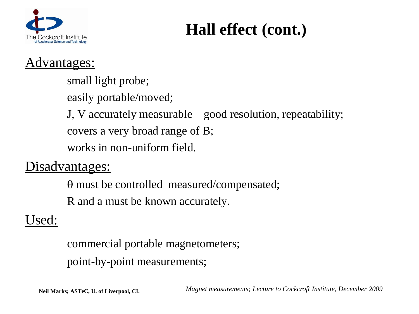

# **Hall effect (cont.)**

## Advantages:

small light probe;

easily portable/moved;

J, V accurately measurable – good resolution, repeatability;

covers a very broad range of B;

works in non-uniform field.

## Disadvantages:

 $\theta$  must be controlled measured/compensated; R and a must be known accurately.

## Used:

commercial portable magnetometers; point-by-point measurements;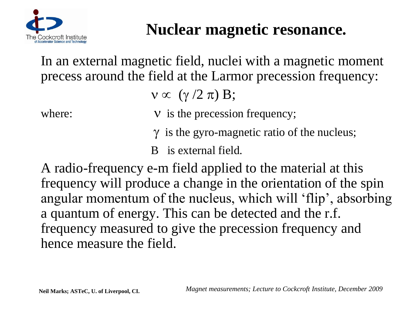

# **Nuclear magnetic resonance.**

In an external magnetic field, nuclei with a magnetic moment precess around the field at the Larmor precession frequency:

 $v \propto (\gamma / 2 \pi) B;$ 

- where:  $V$  is the precession frequency;
	- $\gamma$  is the gyro-magnetic ratio of the nucleus;
	- B is external field.

A radio-frequency e-m field applied to the material at this frequency will produce a change in the orientation of the spin angular momentum of the nucleus, which will 'flip', absorbing a quantum of energy. This can be detected and the r.f. frequency measured to give the precession frequency and hence measure the field.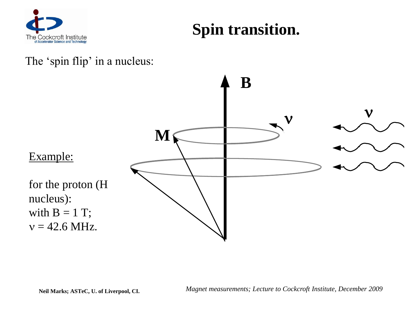

# **Spin transition.**

#### The 'spin flip' in a nucleus:

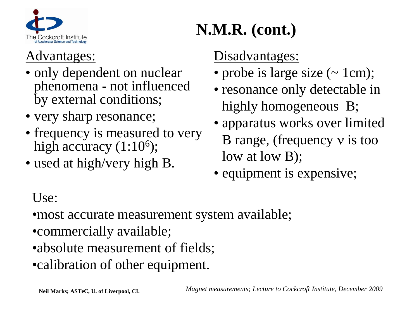

## Advantages:

- only dependent on nuclear phenomena - not influenced by external conditions;
- very sharp resonance;
- frequency is measured to very high accuracy  $(1:10<sup>6</sup>)$ ;
- used at high/very high B.

# **N.M.R. (cont.)**

## Disadvantages:

- probe is large size (~ 1cm);
- resonance only detectable in highly homogeneous B;
- apparatus works over limited B range, (frequency  $v$  is too low at low B);
- equipment is expensive;

## Use:

• most accurate measurement system available;

- •commercially available;
- •absolute measurement of fields;
- •calibration of other equipment.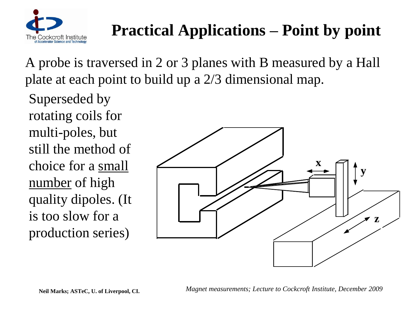

# **Practical Applications – Point by point**

A probe is traversed in 2 or 3 planes with B measured by a Hall plate at each point to build up a 2/3 dimensional map.

Superseded by rotating coils for multi-poles, but still the method of choice for a small number of high quality dipoles. (It is too slow for a production series)

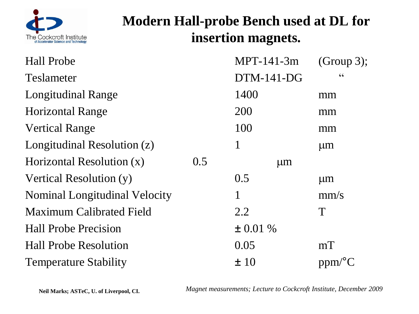

## **Modern Hall-probe Bench used at DL for insertion magnets.**

| <b>Hall Probe</b>                    |     | MPT-141-3m    | (Group 3);             |
|--------------------------------------|-----|---------------|------------------------|
| <b>Teslameter</b>                    |     | $DTM-141-DG$  | $\zeta \zeta$          |
| <b>Longitudinal Range</b>            |     | 1400          | mm                     |
| <b>Horizontal Range</b>              |     | 200           | mm                     |
| <b>Vertical Range</b>                |     | 100           | mm                     |
| Longitudinal Resolution (z)          |     | 1             | $\mu$ m                |
| Horizontal Resolution (x)            | 0.5 | $\mu$ m       |                        |
| Vertical Resolution (y)              |     | 0.5           | $\mu$ m                |
| <b>Nominal Longitudinal Velocity</b> |     | $\mathbf 1$   | mm/s                   |
| <b>Maximum Calibrated Field</b>      |     | 2.2           | T                      |
| <b>Hall Probe Precision</b>          |     | $\pm 0.01 \%$ |                        |
| <b>Hall Probe Resolution</b>         |     | 0.05          | mT                     |
| <b>Temperature Stability</b>         |     | ±10           | $ppm$ <sup>o</sup> $C$ |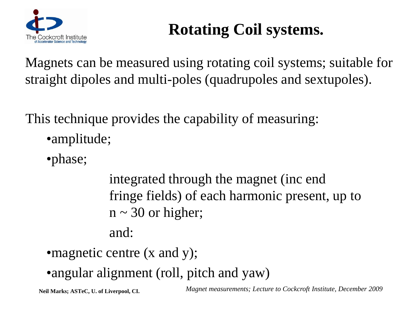

# **Rotating Coil systems.**

Magnets can be measured using rotating coil systems; suitable for straight dipoles and multi-poles (quadrupoles and sextupoles).

This technique provides the capability of measuring:

- •amplitude;
- •phase;

integrated through the magnet (inc end fringe fields) of each harmonic present, up to  $n \sim 30$  or higher; and:

- magnetic centre (x and y);
- •angular alignment (roll, pitch and yaw)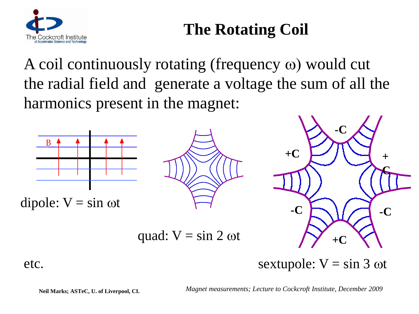

# **The Rotating Coil**

A coil continuously rotating (frequency  $\omega$ ) would cut the radial field and generate a voltage the sum of all the harmonics present in the magnet:







quad:  $V = \sin 2 \omega t$ 

etc. sextupole:  $V = \sin 3 \omega t$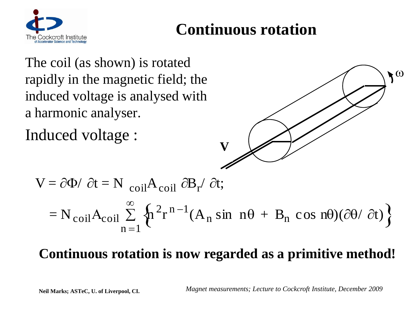

# **Continuous rotation**

The coil (as shown) is rotated rapidly in the magnetic field; the induced voltage is analysed with a harmonic analyser.

Induced voltage :



$$
V = \partial \Phi / \partial t = N_{\text{coil}} A_{\text{coil}} \partial B_r / \partial t;
$$
  
= N\_{\text{coil}} A\_{\text{coil}} \sum\_{n=1}^{\infty} \left\{ n^2 r^{n-1} (A\_n \sin n\theta + B\_n \cos n\theta) (\partial \theta / \partial t) \right\}

## **Continuous rotation is now regarded as a primitive method!**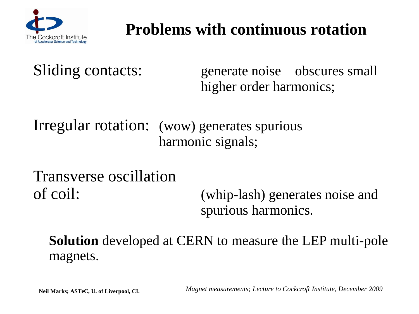

# **Problems with continuous rotation**

Sliding contacts: generate noise – obscures small higher order harmonics;

Irregular rotation: (wow) generates spurious harmonic signals;

Transverse oscillation

of coil: (whip-lash) generates noise and spurious harmonics.

**Solution** developed at CERN to measure the LEP multi-pole magnets.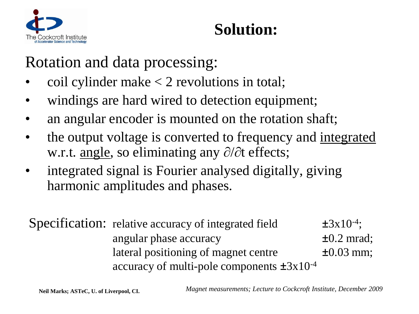

# **Solution:**

# Rotation and data processing:

- coil cylinder make  $<$  2 revolutions in total;
- windings are hard wired to detection equipment;
- an angular encoder is mounted on the rotation shaft;
- the output voltage is converted to frequency and <u>integrated</u> w.r.t. <u>angle</u>, so eliminating any  $\partial/\partial t$  effects;
- integrated signal is Fourier analysed digitally, giving harmonic amplitudes and phases.

Specification: relative accuracy of integrated field  $\pm 3x10^{-4}$ ; angular phase accuracy  $\pm 0.2$  mrad; lateral positioning of magnet centre  $\pm 0.03$  mm; accuracy of multi-pole components  $\pm 3x10^{-4}$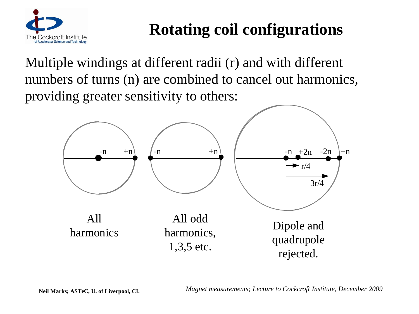

# **Rotating coil configurations**

Multiple windings at different radii (r) and with different numbers of turns (n) are combined to cancel out harmonics, providing greater sensitivity to others:

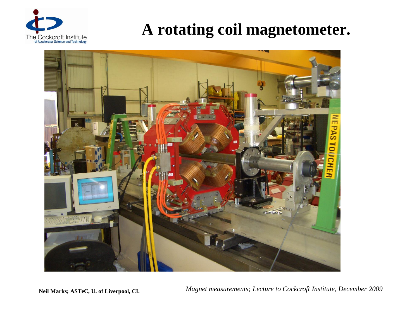

# **A rotating coil magnetometer.**

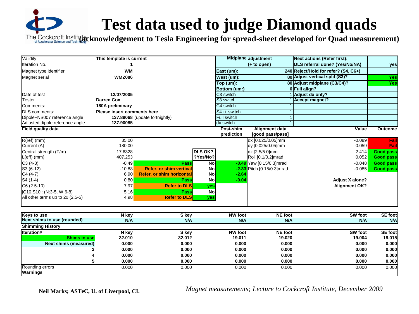# **Test data used to judge Diamond quads**

The Cockcroft Institute Cock croft **Accelerator Science and Technows**  $\overline{\text{g}}$ **cknowledgement to Tesla Engineering for spread-sheet developed for Quad measurement**)

| Validity                           | This template is current    |                                  |                |                       | Midplane adjustment      | <b>Next actions (Refer first):</b>   |                  |
|------------------------------------|-----------------------------|----------------------------------|----------------|-----------------------|--------------------------|--------------------------------------|------------------|
| Iteration No.                      |                             |                                  |                |                       | $(+ to open)$            | DLS referral done? (Yes/No/NA)       | yes              |
| Magnet type identifier             | <b>WM</b>                   |                                  |                | East (um):            |                          | 240 Reject/Hold for refer? (S4, C6+) |                  |
| Magnet serial                      | <b>WMZ086</b>               |                                  |                | West (um):            |                          | 80 Adjust vertical split (S3)?       | Yes              |
|                                    |                             |                                  |                | Top (um):             |                          | 80 Adjust midplane (C3/C4)?          | Yes              |
|                                    |                             |                                  |                | Bottom (um:)          |                          | 0 Full align?                        |                  |
| Date of test                       | 12/07/2005                  |                                  |                | C <sub>3</sub> switch |                          | Adjust dx only?                      |                  |
| <b>Tester</b>                      | Darren Cox                  |                                  |                | S3 switch             |                          | <b>Accept magnet?</b>                |                  |
| Comments:                          | 180A preliminary            |                                  |                | C4 switch             |                          |                                      |                  |
| <b>DLS</b> comments:               | Please insert comments here |                                  |                | S4++ switch           |                          |                                      |                  |
| Dipole+NS007 reference angle       |                             | 137.89068 (update fortnightly)   |                | Full switch           |                          |                                      |                  |
| Adjusted dipole reference angle    | 137.90085                   |                                  |                | dx switch             |                          |                                      |                  |
| Field quality data                 |                             |                                  |                | Post-shim             | <b>Alignment data</b>    | Value                                | Outcome          |
|                                    |                             |                                  |                | prediction            | [good pass/pass]         |                                      |                  |
| $R$ (ref) (mm)                     | 35.00                       |                                  |                |                       | dx [0.025/0.05]mm        | $-0.089$                             | Fail             |
| Current (A)                        | 180.00                      |                                  |                |                       | dy [0.025/0.05]mm        | $-0.059$                             | Fail             |
| Central strength (T/m)             | 17.6328                     |                                  | <b>DLS OK?</b> |                       | dz [2.5/5.0]mm           | 2.414                                | <b>Good pass</b> |
| $L(eff)$ (mm)                      | 407.253                     |                                  | ?Yes/No?       |                       | Roll [0.1/0.2]mrad       | 0.052                                | <b>Good pass</b> |
| $C3(4-8)$                          | $-0.49$                     | Pass                             | N <sub>o</sub> |                       | -0.49 Yaw [0.15/0.3]mrad | $-0.048$                             | <b>Good pass</b> |
| S3 (6-12)                          | $-10.88$                    | <b>Refer, or shim vertical</b>   | No             | $-2.33$               | Pitch [0.15/0.3]mrad     | $-0.085$                             | <b>Good pass</b> |
| $C4(4-7)$                          | 6.90                        | <b>Refer, or shim horizontal</b> | No             | $-2.64$               |                          |                                      |                  |
| S4 (1-4)                           | 0.80                        | Pass                             | No             | $-0.04$               |                          | <b>Adjust X alone?</b>               |                  |
| $C6(2.5-10)$                       | 7.97                        | <b>Refer to DLS</b>              | yes            |                       |                          | <b>Alignment OK?</b>                 |                  |
| IC10, S10 : (N: 3-5, W: 6-8)       | 5.16                        | <b>Pass</b>                      | No             |                       |                          |                                      |                  |
| All other terms up to 20 (2.5-5)   | 4.98                        | <b>Refer to DLS</b>              | yes            |                       |                          |                                      |                  |
|                                    |                             |                                  |                |                       |                          |                                      |                  |
| <b>Keys to use</b>                 | N key                       | S key                            |                | <b>NW</b> foot        | <b>NE</b> foot           | <b>SW</b> foot                       | <b>SE</b> foot   |
| Next shims to use (rounded)        | N/A                         | N/A                              |                | N/A                   | N/A                      | N/A                                  | N/A              |
| <b>Shimming History</b>            |                             |                                  |                |                       |                          |                                      |                  |
| <b>Iteration#</b>                  | N key                       | S key                            |                | <b>NW</b> foot        | <b>NE</b> foot           | SW foot                              | <b>SE</b> foot   |
| <b>Shims in use</b>                | 32.010                      | 32.012                           |                | 19.011                | 19.020                   | 19.004                               | 19.015           |
| <b>Next shims (measured)</b>       | 0.000                       | 0.000                            |                | 0.000                 | 0.000                    | 0.000                                | 0.000            |
| 3                                  | 0.000                       | 0.000                            |                | 0.000                 | 0.000                    | 0.000                                | 0.000            |
|                                    | 0.000                       | 0.000                            |                | 0.000                 | 0.000                    | 0.000                                | 0.000            |
| 5                                  | 0.000                       | 0.000                            |                | 0.000                 | 0.000                    | 0.000                                | 0.000            |
| Rounding errors<br><b>Warnings</b> | 0.000                       | 0.000                            |                | 0.000                 | 0.000                    | 0.000                                | 0.000            |